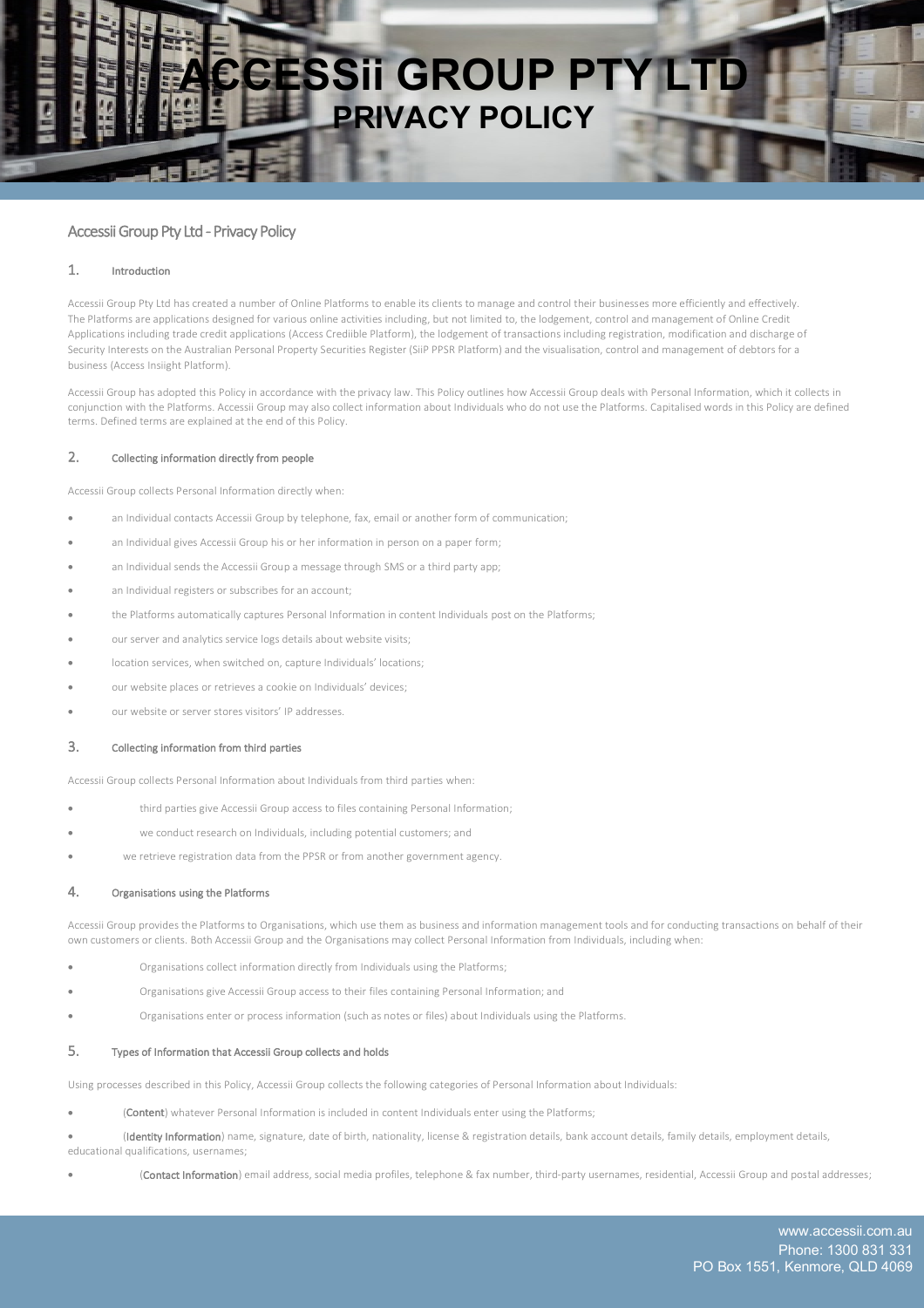

# Accessii Group Pty Ltd - Privacy Policy

#### 1. Introduction

Accessii Group Pty Ltd has created a number of Online Platforms to enable its clients to manage and control their businesses more efficiently and effectively. The Platforms are applications designed for various online activities including, but not limited to, the lodgement, control and management of Online Credit Applications including trade credit applications (Access Crediible Platform), the lodgement of transactions including registration, modification and discharge of Security Interests on the Australian Personal Property Securities Register (SiiP PPSR Platform) and the visualisation, control and management of debtors for a business (Access Insiight Platform).

Accessii Group has adopted this Policy in accordance with the privacy law. This Policy outlines how Accessii Group deals with Personal Information, which it collects in conjunction with the Platforms. Accessii Group may also collect information about Individuals who do not use the Platforms. Capitalised words in this Policy are defined terms. Defined terms are explained at the end of this Policy.

#### 2. Collecting information directly from people

Accessii Group collects Personal Information directly when:

- an Individual contacts Accessii Group by telephone, fax, email or another form of communication;
- an Individual gives Accessii Group his or her information in person on a paper form;
- an Individual sends the Accessii Group a message through SMS or a third party app;
- an Individual registers or subscribes for an account:
- the Platforms automatically captures Personal Information in content Individuals post on the Platforms;
- our server and analytics service logs details about website visits;
- location services, when switched on, capture Individuals' locations;
- our website places or retrieves a cookie on Individuals' devices;
- our website or server stores visitors' IP addresses.

### 3. Collecting information from third parties

Accessii Group collects Personal Information about Individuals from third parties when:

- third parties give Accessii Group access to files containing Personal Information;
- we conduct research on Individuals, including potential customers; and
- we retrieve registration data from the PPSR or from another government agency.

#### 4. Organisations using the Platforms

Accessii Group provides the Platforms to Organisations, which use them as business and information management tools and for conducting transactions on behalf of their own customers or clients. Both Accessii Group and the Organisations may collect Personal Information from Individuals, including when:

- Organisations collect information directly from Individuals using the Platforms;
- Organisations give Accessii Group access to their files containing Personal Information; and
- Organisations enter or process information (such as notes or files) about Individuals using the Platforms.

### 5. Types of Information that Accessii Group collects and holds

Using processes described in this Policy, Accessii Group collects the following categories of Personal Information about Individuals:

(Content) whatever Personal Information is included in content Individuals enter using the Platforms;

(Identity Information) name, signature, date of birth, nationality, license & registration details, bank account details, family details, employment details, educational qualifications, usernames;

• (Contact Information) email address, social media profiles, telephone & fax number, third-party usernames, residential, Accessii Group and postal addresses;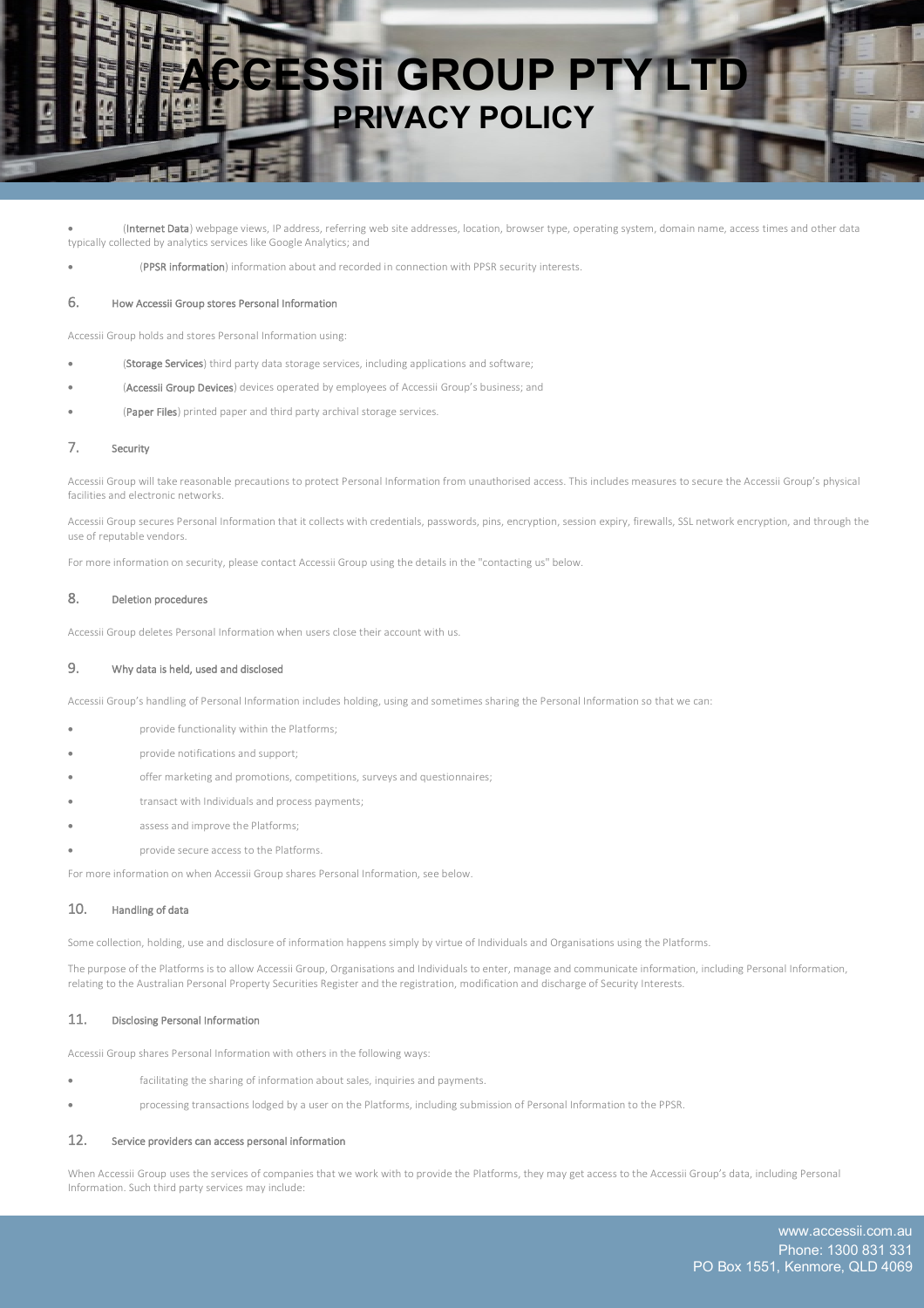

(Internet Data) webpage views, IP address, referring web site addresses, location, browser type, operating system, domain name, access times and other data typically collected by analytics services like Google Analytics; and

• (PPSR information) information about and recorded in connection with PPSR security interests.

#### 6. How Accessii Group stores Personal Information

Accessii Group holds and stores Personal Information using:

- (Storage Services) third party data storage services, including applications and software;
- (Accessii Group Devices) devices operated by employees of Accessii Group's business; and
- (Paper Files) printed paper and third party archival storage services.

### 7. Security

Accessii Group will take reasonable precautions to protect Personal Information from unauthorised access. This includes measures to secure the Accessii Group's physical facilities and electronic networks.

Accessii Group secures Personal Information that it collects with credentials, passwords, pins, encryption, session expiry, firewalls, SSL network encryption, and through the use of reputable vendors.

For more information on security, please contact Accessii Group using the details in the "contacting us" below.

### 8. Deletion procedures

Accessii Group deletes Personal Information when users close their account with us.

#### 9. Why data is held, used and disclosed

Accessii Group's handling of Personal Information includes holding, using and sometimes sharing the Personal Information so that we can:

- provide functionality within the Platforms;
- provide notifications and support;
- offer marketing and promotions, competitions, surveys and questionnaires;
- transact with Individuals and process payments;
- assess and improve the Platforms:
- provide secure access to the Platforms.

For more information on when Accessii Group shares Personal Information, see below.

## 10. Handling of data

Some collection, holding, use and disclosure of information happens simply by virtue of Individuals and Organisations using the Platforms.

The purpose of the Platforms is to allow Accessii Group, Organisations and Individuals to enter, manage and communicate information, including Personal Information, relating to the Australian Personal Property Securities Register and the registration, modification and discharge of Security Interests.

#### 11. Disclosing Personal Information

Accessii Group shares Personal Information with others in the following ways:

- facilitating the sharing of information about sales, inquiries and payments.
- processing transactions lodged by a user on the Platforms, including submission of Personal Information to the PPSR.

## 12. Service providers can access personal information

When Accessii Group uses the services of companies that we work with to provide the Platforms, they may get access to the Accessii Group's data, including Personal Information. Such third party services may include: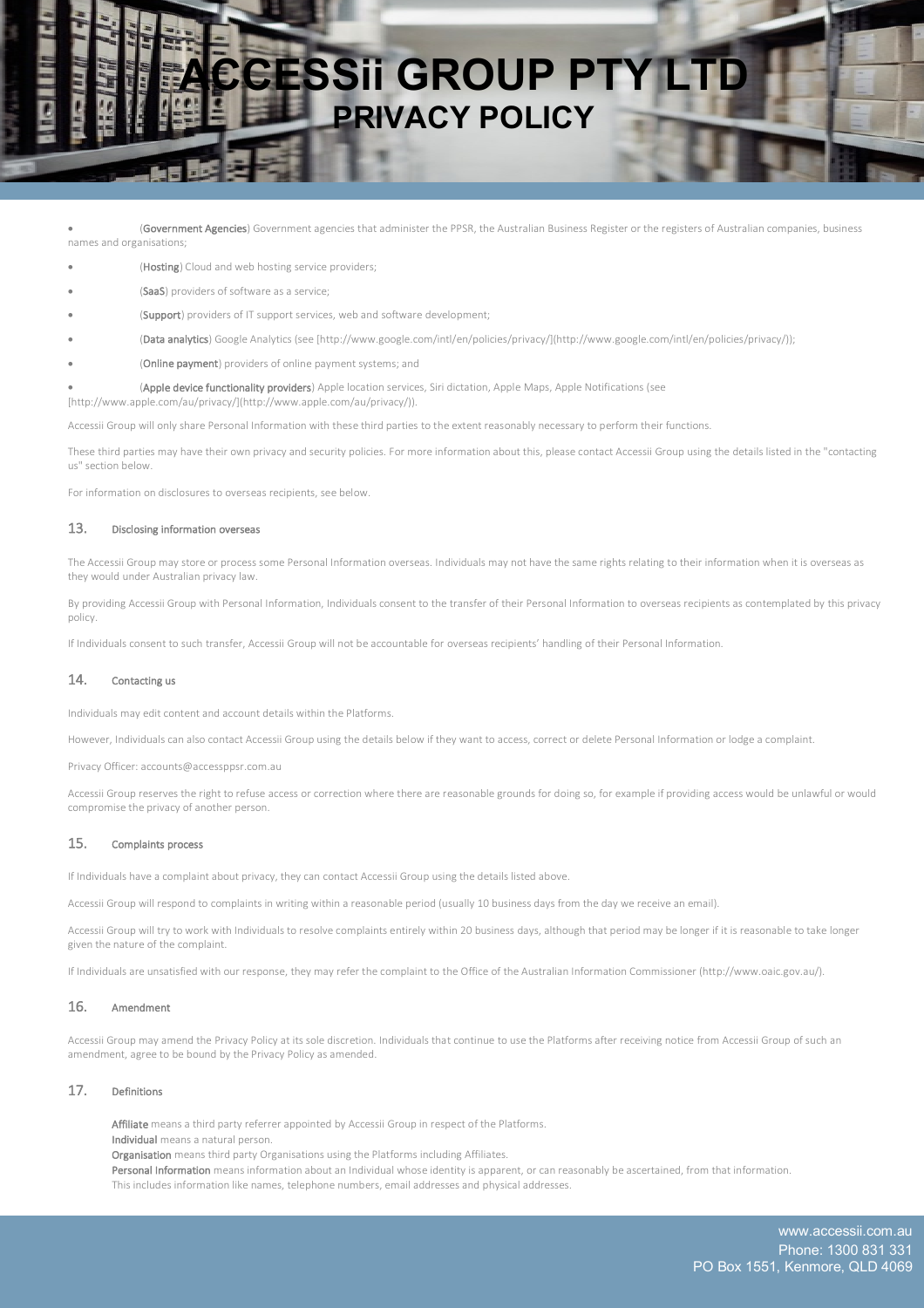

(Government Agencies) Government agencies that administer the PPSR, the Australian Business Register or the registers of Australian companies, business names and organisations;

- (Hosting) Cloud and web hosting service providers;
- (SaaS) providers of software as a service;
- (Support) providers of IT support services, web and software development;
- (Data analytics) Google Analytics (see [http://www.google.com/intl/en/policies/privacy/](http://www.google.com/intl/en/policies/privacy/));
- (Online payment) providers of online payment systems; and

• (Apple device functionality providers) Apple location services, Siri dictation, Apple Maps, Apple Notifications (see [http://www.apple.com/au/privacy/](http://www.apple.com/au/privacy/)).

Accessii Group will only share Personal Information with these third parties to the extent reasonably necessary to perform their functions.

These third parties may have their own privacy and security policies. For more information about this, please contact Accessii Group using the details listed in the "contacting us" section below.

For information on disclosures to overseas recipients, see below.

### 13. Disclosing information overseas

The Accessii Group may store or process some Personal Information overseas. Individuals may not have the same rights relating to their information when it is overseas as they would under Australian privacy law.

By providing Accessii Group with Personal Information, Individuals consent to the transfer of their Personal Information to overseas recipients as contemplated by this privacy policy.

If Individuals consent to such transfer, Accessii Group will not be accountable for overseas recipients' handling of their Personal Information.

#### 14. Contacting us

Individuals may edit content and account details within the Platforms.

However, Individuals can also contact Accessii Group using the details below if they want to access, correct or delete Personal Information or lodge a complaint.

Privacy Officer: accounts@accessppsr.com.au

Accessii Group reserves the right to refuse access or correction where there are reasonable grounds for doing so, for example if providing access would be unlawful or would compromise the privacy of another person.

# 15. Complaints process

If Individuals have a complaint about privacy, they can contact Accessii Group using the details listed above.

Accessii Group will respond to complaints in writing within a reasonable period (usually 10 business days from the day we receive an email).

Accessii Group will try to work with Individuals to resolve complaints entirely within 20 business days, although that period may be longer if it is reasonable to take longer given the nature of the complaint.

If Individuals are unsatisfied with our response, they may refer the complaint to the Office of the Australian Information Commissioner (http://www.oaic.gov.au/).

#### 16. Amendment

Accessii Group may amend the Privacy Policy at its sole discretion. Individuals that continue to use the Platforms after receiving notice from Accessii Group of such an amendment, agree to be bound by the Privacy Policy as amended.

### 17. Definitions

Affiliate means a third party referrer appointed by Accessii Group in respect of the Platforms.

Individual means a natural person.

Organisation means third party Organisations using the Platforms including Affiliates.

Personal Information means information about an Individual whose identity is apparent, or can reasonably be ascertained, from that information. This includes information like names, telephone numbers, email addresses and physical addresses.